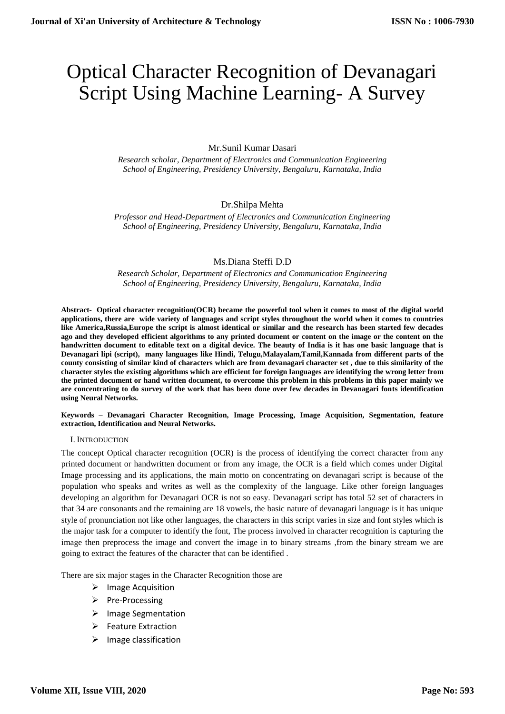# Optical Character Recognition of Devanagari Script Using Machine Learning- A Survey

# Mr.Sunil Kumar Dasari

*Research scholar, Department of Electronics and Communication Engineering School of Engineering, Presidency University, Bengaluru, Karnataka, India*

# Dr.Shilpa Mehta

*Professor and Head-Department of Electronics and Communication Engineering School of Engineering, Presidency University, Bengaluru, Karnataka, India*

# Ms.Diana Steffi D.D

*Research Scholar, Department of Electronics and Communication Engineering School of Engineering, Presidency University, Bengaluru, Karnataka, India*

**Abstract- Optical character recognition(OCR) became the powerful tool when it comes to most of the digital world applications, there are wide variety of languages and script styles throughout the world when it comes to countries like America,Russia,Europe the script is almost identical or similar and the research has been started few decades ago and they developed efficient algorithms to any printed document or content on the image or the content on the handwritten document to editable text on a digital device. The beauty of India is it has one basic language that is Devanagari lipi (script), many languages like Hindi, Telugu,Malayalam,Tamil,Kannada from different parts of the county consisting of similar kind of characters which are from devanagari character set , due to this similarity of the character styles the existing algorithms which are efficient for foreign languages are identifying the wrong letter from the printed document or hand written document, to overcome this problem in this problems in this paper mainly we are concentrating to do survey of the work that has been done over few decades in Devanagari fonts identification using Neural Networks.**

**Keywords – Devanagari Character Recognition, Image Processing, Image Acquisition, Segmentation, feature extraction, Identification and Neural Networks.**

#### I. INTRODUCTION

The concept Optical character recognition (OCR) is the process of identifying the correct character from any printed document or handwritten document or from any image, the OCR is a field which comes under Digital Image processing and its applications, the main motto on concentrating on devanagari script is because of the population who speaks and writes as well as the complexity of the language. Like other foreign languages developing an algorithm for Devanagari OCR is not so easy. Devanagari script has total 52 set of characters in that 34 are consonants and the remaining are 18 vowels, the basic nature of devanagari language is it has unique style of pronunciation not like other languages, the characters in this script varies in size and font styles which is the major task for a computer to identify the font, The process involved in character recognition is capturing the image then preprocess the image and convert the image in to binary streams ,from the binary stream we are going to extract the features of the character that can be identified .

There are six major stages in the Character Recognition those are

- $\triangleright$  Image Acquisition
- $\triangleright$  Pre-Processing
- $\triangleright$  Image Segmentation
- $\triangleright$  Feature Extraction
- $\triangleright$  Image classification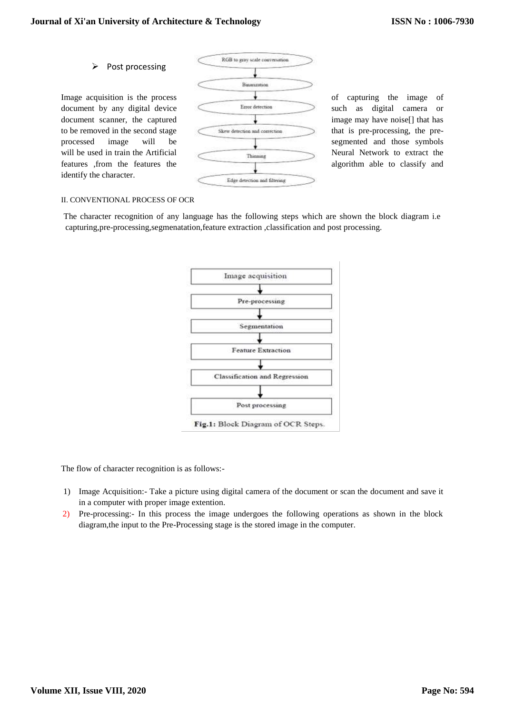# $\triangleright$  Post processing

identify the character.



## II. CONVENTIONAL PROCESS OF OCR

The character recognition of any language has the following steps which are shown the block diagram i.e capturing,pre-processing,segmenatation,feature extraction ,classification and post processing.



Fig.1: Block Diagram of OCR Steps.

The flow of character recognition is as follows:-

- 1) Image Acquisition:- Take a picture using digital camera of the document or scan the document and save it in a computer with proper image extention.
- 2) Pre-processing:- In this process the image undergoes the following operations as shown in the block diagram,the input to the Pre-Processing stage is the stored image in the computer.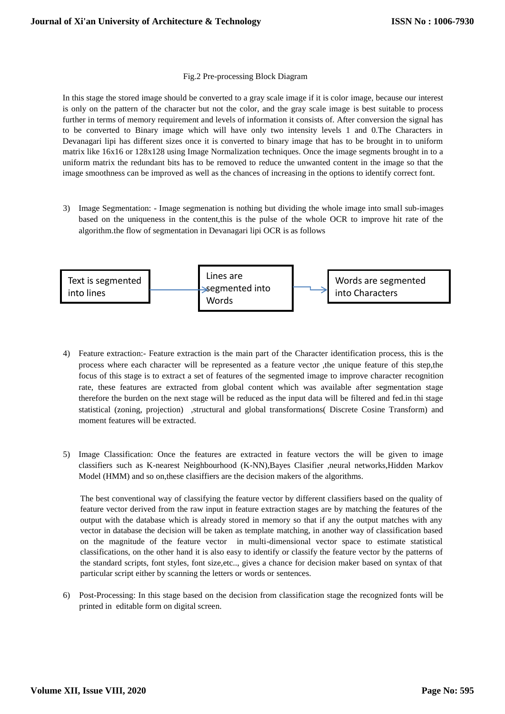## Fig.2 Pre-processing Block Diagram

In this stage the stored image should be converted to a gray scale image if it is color image, because our interest is only on the pattern of the character but not the color, and the gray scale image is best suitable to process further in terms of memory requirement and levels of information it consists of. After conversion the signal has to be converted to Binary image which will have only two intensity levels 1 and 0.The Characters in Devanagari lipi has different sizes once it is converted to binary image that has to be brought in to uniform matrix like 16x16 or 128x128 using Image Normalization techniques. Once the image segments brought in to a uniform matrix the redundant bits has to be removed to reduce the unwanted content in the image so that the image smoothness can be improved as well as the chances of increasing in the options to identify correct font.

3) Image Segmentation: - Image segmenation is nothing but dividing the whole image into small sub-images based on the uniqueness in the content,this is the pulse of the whole OCR to improve hit rate of the algorithm.the flow of segmentation in Devanagari lipi OCR is as follows



- 4) Feature extraction:- Feature extraction is the main part of the Character identification process, this is the process where each character will be represented as a feature vector ,the unique feature of this step,the focus of this stage is to extract a set of features of the segmented image to improve character recognition rate, these features are extracted from global content which was available after segmentation stage therefore the burden on the next stage will be reduced as the input data will be filtered and fed.in thi stage statistical (zoning, projection) ,structural and global transformations( Discrete Cosine Transform) and moment features will be extracted.
- 5) Image Classification: Once the features are extracted in feature vectors the will be given to image classifiers such as K-nearest Neighbourhood (K-NN),Bayes Clasifier ,neural networks,Hidden Markov Model (HMM) and so on,these clasiffiers are the decision makers of the algorithms.

The best conventional way of classifying the feature vector by different classifiers based on the quality of feature vector derived from the raw input in feature extraction stages are by matching the features of the output with the database which is already stored in memory so that if any the output matches with any vector in database the decision will be taken as template matching, in another way of classification based on the magnitude of the feature vector in multi-dimensional vector space to estimate statistical classifications, on the other hand it is also easy to identify or classify the feature vector by the patterns of the standard scripts, font styles, font size,etc.., gives a chance for decision maker based on syntax of that particular script either by scanning the letters or words or sentences.

6) Post-Processing: In this stage based on the decision from classification stage the recognized fonts will be printed in editable form on digital screen.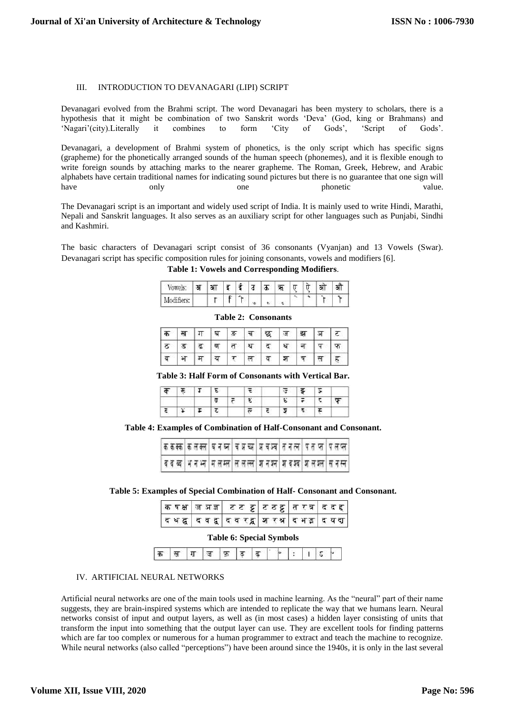#### III. INTRODUCTION TO DEVANAGARI (LIPI) SCRIPT

Devanagari evolved from the Brahmi script. The word Devanagari has been mystery to scholars, there is a hypothesis that it might be combination of two Sanskrit words 'Deva' (God, king or Brahmans) and 'Nagari'(city).Literally it combines to form 'City of Gods', 'Script of Gods'.

Devanagari, a development of Brahmi system of phonetics, is the only script which has specific signs (grapheme) for the phonetically arranged sounds of the human speech (phonemes), and it is flexible enough to write foreign sounds by attaching marks to the nearer grapheme. The Roman, Greek, Hebrew, and Arabic alphabets have certain traditional names for indicating sound pictures but there is no guarantee that one sign will have only one phonetic value.

The Devanagari script is an important and widely used script of India. It is mainly used to write Hindi, Marathi, Nepali and Sanskrit languages. It also serves as an auxiliary script for other languages such as Punjabi, Sindhi and Kashmiri.

The basic characters of Devanagari script consist of 36 consonants (Vyanjan) and 13 Vowels (Swar). Devanagari script has specific composition rules for joining consonants, vowels and modifiers [6].

**Table 1: Vowels and Corresponding Modifiers**.

| o, | आ | ड | ۰ | उ | ÷. | $\sim$ | $\ddot{}$<br>π | - 1 |  |
|----|---|---|---|---|----|--------|----------------|-----|--|
|    |   |   | ٠ | œ | e. |        |                |     |  |

|   |  |  | क स्र   ग घ ड   च छ   ज झ   ज ट |       |  |
|---|--|--|---------------------------------|-------|--|
|   |  |  |                                 |       |  |
| ब |  |  | $ \pi \pi \pi \tau \pi \pi$ । अ | प स ह |  |

**Table 2: Consonants**

#### **Table 3: Half Form of Consonants with Vertical Bar.**

**Table 4: Examples of Combination of Half-Consonant and Consonant.**

|  | क क क्क   क ल रूप   व प्र प्र प्र प्र प्र प्र प्र त र प   प त प्र प्र ल   प ल प्ल |  |  |
|--|-----------------------------------------------------------------------------------|--|--|
|  | व व व्य  भ न भ्न   न ल म्ल   ल ल ल्ल   ज न श्न   ज व श्व   ज ल श्ल   स न स्न      |  |  |

## **Table 5: Examples of Special Combination of Half- Consonant and Consonant.**

|  | किषक्ष जिजज्ञ टिट ट्ट टिठट्ट तिरत्र दिद ह                |  |  |
|--|----------------------------------------------------------|--|--|
|  | द ध द्व   द व द्व   द व रद्व   श र श्र   द भ इ   द य द्य |  |  |

#### **Table 6: Special Symbols**

|--|--|--|--|--|--|--|--|--|--|--|--|--|

#### IV. ARTIFICIAL NEURAL NETWORKS

Artificial neural networks are one of the main tools used in machine learning. As the "neural" part of their name suggests, they are brain-inspired systems which are intended to replicate the way that we humans learn. Neural networks consist of input and output layers, as well as (in most cases) a hidden layer consisting of units that transform the input into something that the output layer can use. They are excellent tools for finding patterns which are far too complex or numerous for a human programmer to extract and teach the machine to recognize. While neural networks (also called "perceptions") [have been around since the 1940s,](https://www.digitaltrends.com/cool-tech/history-of-ai-milestones/) it is only in the last several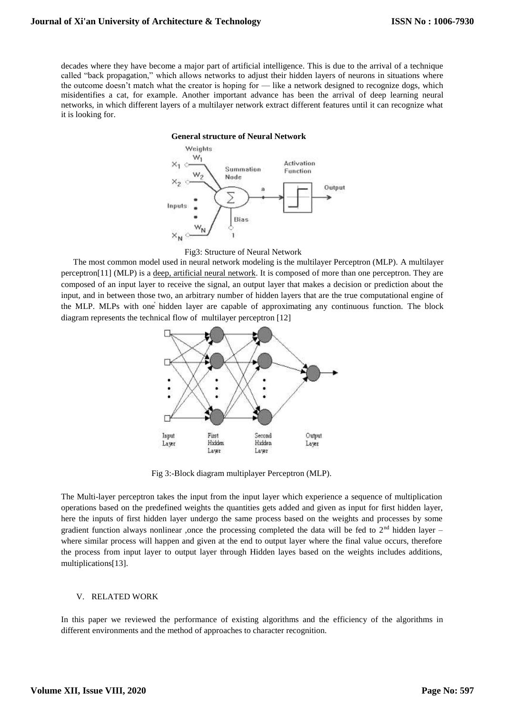decades where they have become a major part of artificial intelligence. This is due to the arrival of a technique called "back propagation," which allows networks to adjust their hidden layers of neurons in situations where the outcome doesn't match what the creator is hoping for — like a network designed to recognize dogs, which misidentifies a cat, for example. Another important advance has been the arrival of deep learning neural networks, in which different layers of a multilayer network extract different features until it can recognize what it is looking for.

## **General structure of Neural Network**



#### Fig3: Structure of Neural Network

The most common model used in neural network modeling is the multilayer Perceptron (MLP). A multilayer perceptron[11] (MLP) is a [deep, artificial neural network.](https://wiki.pathmind.com/neural-network) It is composed of more than one perceptron. They are composed of an input layer to receive the signal, an output layer that makes a decision or prediction about the input, and in between those two, an arbitrary number of hidden layers that are the true computational engine of the MLP. MLPs with one hidden layer are capable of approximating any continuous function. The block diagram represents the technical flow of multilayer perceptron [12]



Fig 3:-Block diagram multiplayer Perceptron (MLP).

The Multi-layer perceptron takes the input from the input layer which experience a sequence of multiplication operations based on the predefined weights the quantities gets added and given as input for first hidden layer, here the inputs of first hidden layer undergo the same process based on the weights and processes by some gradient function always nonlinear ,once the processing completed the data will be fed to  $2<sup>nd</sup>$  hidden layer – where similar process will happen and given at the end to output layer where the final value occurs, therefore the process from input layer to output layer through Hidden layes based on the weights includes additions, multiplications[13].

#### V. RELATED WORK

In this paper we reviewed the performance of existing algorithms and the efficiency of the algorithms in different environments and the method of approaches to character recognition.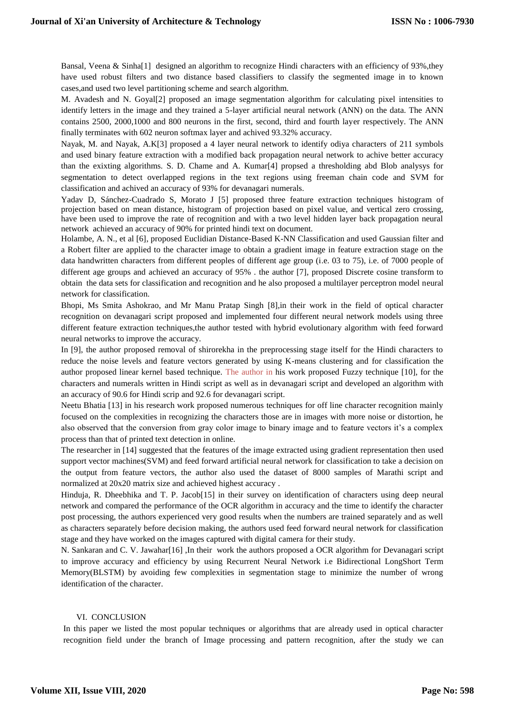Bansal, Veena & Sinha<sup>[1]</sup> designed an algorithm to recognize Hindi characters with an efficiency of 93%,they have used robust filters and two distance based classifiers to classify the segmented image in to known cases,and used two level partitioning scheme and search algorithm.

M. Avadesh and N. Goyal[2] proposed an image segmentation algorithm for calculating pixel intensities to identify letters in the image and they trained a 5-layer artificial neural network (ANN) on the data. The ANN contains 2500, 2000,1000 and 800 neurons in the first, second, third and fourth layer respectively. The ANN finally terminates with 602 neuron softmax layer and achived 93.32% accuracy.

Nayak, M. and Nayak, A.K[3] proposed a 4 layer neural network to identify odiya characters of 211 symbols and used binary feature extraction with a modified back propagation neural network to achive better accuracy than the exixting algorithms. S. D. Chame and A. Kumar[4] propsed a thresholding abd Blob analysys for segmentation to detect overlapped regions in the text regions using freeman chain code and SVM for classification and achived an accuracy of 93% for devanagari numerals.

Yadav D, Sánchez-Cuadrado S, Morato J [5] proposed three feature extraction techniques histogram of projection based on mean distance, histogram of projection based on pixel value, and vertical zero crossing, have been used to improve the rate of recognition and with a two level hidden layer back propagation neural network achieved an accuracy of 90% for printed hindi text on document.

Holambe, A. N., et al [6], proposed Euclidian Distance-Based K-NN Classification and used Gaussian filter and a Robert filter are applied to the character image to obtain a gradient image in feature extraction stage on the data handwritten characters from different peoples of different age group (i.e. 03 to 75), i.e. of 7000 people of different age groups and achieved an accuracy of 95% . the author [7], proposed Discrete cosine transform to obtain the data sets for classification and recognition and he also proposed a multilayer perceptron model neural network for classification.

Bhopi, Ms Smita Ashokrao, and Mr Manu Pratap Singh [8],in their work in the field of optical character recognition on devanagari script proposed and implemented four different neural network models using three different feature extraction techniques,the author tested with hybrid evolutionary algorithm with feed forward neural networks to improve the accuracy.

In [9], the author proposed removal of shirorekha in the preprocessing stage itself for the Hindi characters to reduce the noise levels and feature vectors generated by using K-means clustering and for classification the author proposed linear kernel based technique. The author in his work proposed Fuzzy technique [10], for the characters and numerals written in Hindi script as well as in devanagari script and developed an algorithm with an accuracy of 90.6 for Hindi scrip and 92.6 for devanagari script.

Neetu Bhatia [13] in his research work proposed numerous techniques for off line character recognition mainly focused on the complexities in recognizing the characters those are in images with more noise or distortion, he also observed that the conversion from gray color image to binary image and to feature vectors it's a complex process than that of printed text detection in online.

The researcher in [14] suggested that the features of the image extracted using gradient representation then used support vector machines(SVM) and feed forward artificial neural network for classification to take a decision on the output from feature vectors, the author also used the dataset of 8000 samples of Marathi script and normalized at 20x20 matrix size and achieved highest accuracy .

Hinduja, R. Dheebhika and T. P. Jacob[15] in their survey on identification of characters using deep neural network and compared the performance of the OCR algorithm in accuracy and the time to identify the character post processing, the authors experienced very good results when the numbers are trained separately and as well as characters separately before decision making, the authors used feed forward neural network for classification stage and they have worked on the images captured with digital camera for their study.

N. Sankaran and C. V. Jawahar[16] ,In their work the authors proposed a OCR algorithm for Devanagari script to improve accuracy and efficiency by using Recurrent Neural Network i.e Bidirectional LongShort Term Memory(BLSTM) by avoiding few complexities in segmentation stage to minimize the number of wrong identification of the character.

## VI. CONCLUSION

In this paper we listed the most popular techniques or algorithms that are already used in optical character recognition field under the branch of Image processing and pattern recognition, after the study we can